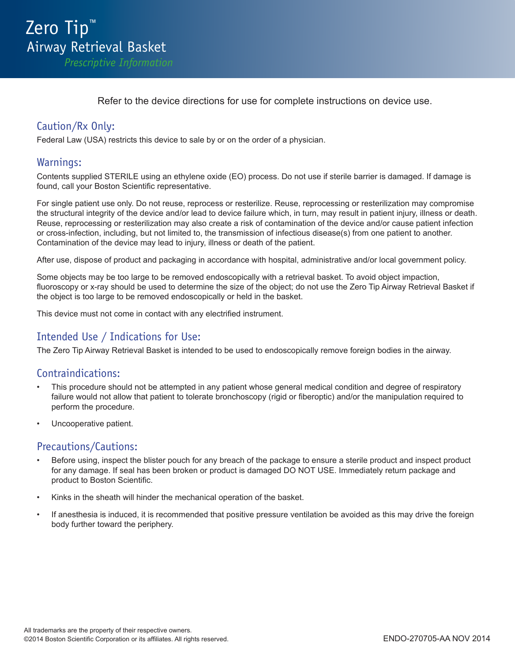Refer to the device directions for use for complete instructions on device use.

# Caution/Rx Only:

Federal Law (USA) restricts this device to sale by or on the order of a physician.

#### Warnings:

Contents supplied STERILE using an ethylene oxide (EO) process. Do not use if sterile barrier is damaged. If damage is found, call your Boston Scientific representative.

For single patient use only. Do not reuse, reprocess or resterilize. Reuse, reprocessing or resterilization may compromise the structural integrity of the device and/or lead to device failure which, in turn, may result in patient injury, illness or death. Reuse, reprocessing or resterilization may also create a risk of contamination of the device and/or cause patient infection or cross-infection, including, but not limited to, the transmission of infectious disease(s) from one patient to another. Contamination of the device may lead to injury, illness or death of the patient.

After use, dispose of product and packaging in accordance with hospital, administrative and/or local government policy.

Some objects may be too large to be removed endoscopically with a retrieval basket. To avoid object impaction, fluoroscopy or x-ray should be used to determine the size of the object; do not use the Zero Tip Airway Retrieval Basket if the object is too large to be removed endoscopically or held in the basket.

This device must not come in contact with any electrified instrument.

## Intended Use / Indications for Use:

The Zero Tip Airway Retrieval Basket is intended to be used to endoscopically remove foreign bodies in the airway.

#### Contraindications:

- This procedure should not be attempted in any patient whose general medical condition and degree of respiratory failure would not allow that patient to tolerate bronchoscopy (rigid or fiberoptic) and/or the manipulation required to perform the procedure.
- Uncooperative patient.

#### Precautions/Cautions:

- Before using, inspect the blister pouch for any breach of the package to ensure a sterile product and inspect product for any damage. If seal has been broken or product is damaged DO NOT USE. Immediately return package and product to Boston Scientific.
- Kinks in the sheath will hinder the mechanical operation of the basket.
- If anesthesia is induced, it is recommended that positive pressure ventilation be avoided as this may drive the foreign body further toward the periphery.